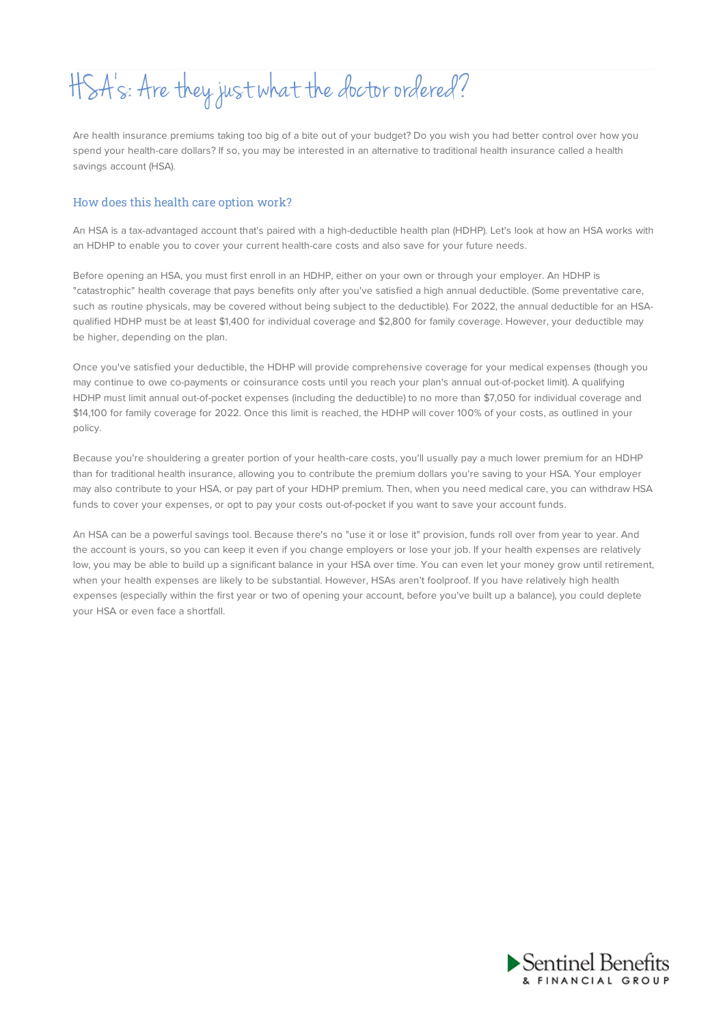# HSA' s: Are they justwhat the doctor ordered?

Are health insurance premiums taking too big of a bite out of your budget? Do you wish you had better control over how you spend your health-care dollars? If so, you may be interested in an alternative to traditional health insurance called a health savings account (HSA).

## How does this health care option work?

An HSA is a tax-advantaged account that's paired with a high-deductible health plan (HDHP). Let's look at how an HSA works with an HDHP to enable you to cover your current health-care costs and also save for your future needs.

Before opening an HSA, you must first enroll in an HDHP, either on your own or through your employer. An HDHP is "catastrophic" health coverage that pays benefits only after you've satisfied a high annual deductible. (Some preventative care, such as routine physicals, may be covered without being subject to the deductible). For 2022, the annual deductible for an HSAqualified HDHP must be at least \$1,400 for individual coverage and \$2,800 for family coverage. However, your deductible may be higher, depending on the plan.

Once you've satisfied your deductible, the HDHP will provide comprehensive coverage for your medical expenses (though you may continue to owe co-payments or coinsurance costs until you reach your plan's annual out-of-pocket limit). A qualifying HDHP must limit annual out-of-pocket expenses (including the deductible) to no more than \$7,050 for individual coverage and \$14,100 for family coverage for 2022. Once this limit is reached, the HDHP will cover 100% of your costs, as outlined in your policy.

Because you're shouldering a greater portion of your health-care costs, you'll usually pay a much lower premium for an HDHP than for traditional health insurance, allowing you to contribute the premium dollars you're saving to your HSA. Your employer may also contribute to your HSA, or pay part of your HDHP premium. Then, when you need medical care, you can withdraw HSA funds to cover your expenses, or opt to pay your costs out-of-pocket if you want to save your account funds.

An HSA can be a powerful savings tool. Because there's no "use it or lose it" provision, funds roll over from year to year. And the account is yours, so you can keep it even if you change employers or lose your job. If your health expenses are relatively low, you may be able to build up a significant balance in your HSA over time. You can even let your money grow until retirement, when your health expenses are likely to be substantial. However, HSAs aren't foolproof. If you have relatively high health expenses (especially within the first year or two of opening your account, before you've built up a balance), you could deplete your HSA or even face a shortfall.

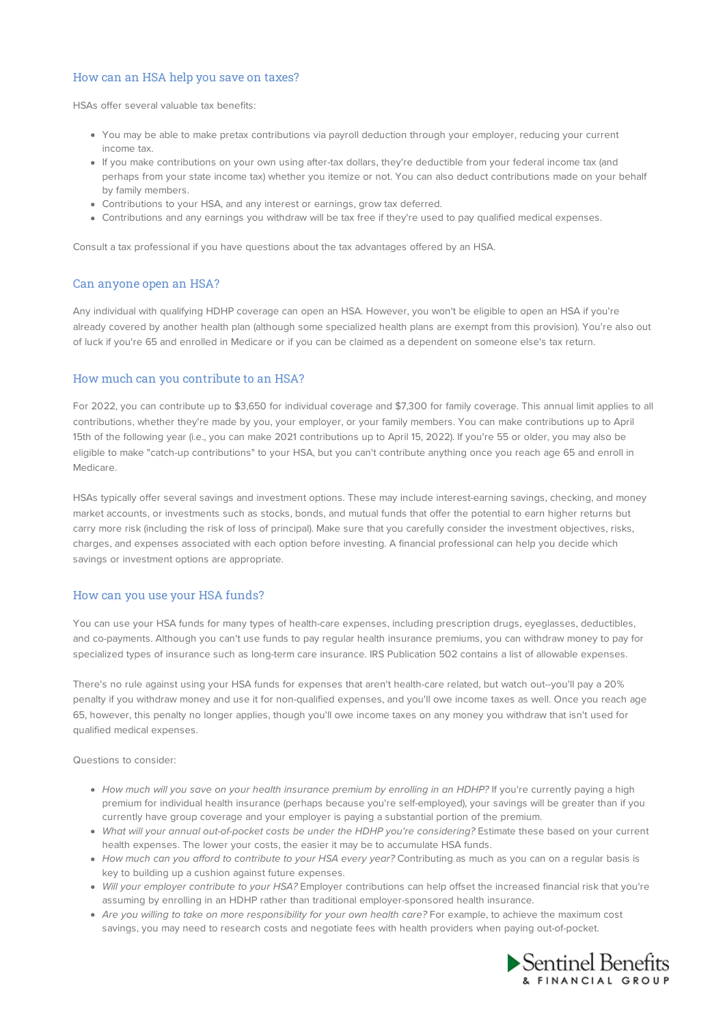## How can an HSA help you save on taxes?

HSAs offer several valuable tax benefits:

- You may be able to make pretax contributions via payroll deduction through your employer, reducing your current income tax.
- If you make contributions on your own using after-tax dollars, they're deductible from your federal income tax (and perhaps from your state income tax) whether you itemize or not. You can also deduct contributions made on your behalf by family members.
- Contributions to your HSA, and any interest or earnings, grow tax deferred.
- Contributions and any earnings you withdraw will be tax free if they're used to pay qualified medical expenses.

Consult a tax professional if you have questions about the tax advantages offered by an HSA.

#### Can anyone open an HSA?

Any individual with qualifying HDHP coverage can open an HSA. However, you won't be eligible to open an HSA if you're already covered by another health plan (although some specialized health plans are exempt from this provision). You're also out of luck if you're 65 and enrolled in Medicare or if you can be claimed as a dependent on someone else's tax return.

### How much can you contribute to an HSA?

For 2022, you can contribute up to \$3,650 for individual coverage and \$7,300 for family coverage. This annual limit applies to all contributions, whether they're made by you, your employer, or your family members. You can make contributions up to April 15th of the following year (i.e., you can make 2021 contributions up to April 15, 2022). If you're 55 or older, you may also be eligible to make "catch-up contributions" to your HSA, but you can't contribute anything once you reach age 65 and enroll in Medicare.

HSAs typically offer several savings and investment options. These may include interest-earning savings, checking, and money market accounts, or investments such as stocks, bonds, and mutual funds that offer the potential to earn higher returns but carry more risk (including the risk of loss of principal). Make sure that you carefully consider the investment objectives, risks, charges, and expenses associated with each option before investing. A financial professional can help you decide which savings or investment options are appropriate.

#### How can you use your HSA funds?

You can use your HSA funds for many types of health-care expenses, including prescription drugs, eyeglasses, deductibles, and co-payments. Although you can't use funds to pay regular health insurance premiums, you can withdraw money to pay for specialized types of insurance such as long-term care insurance. IRS Publication 502 contains a list of allowable expenses.

There's no rule against using your HSA funds for expenses that aren't health-care related, but watch out--you'll pay a 20% penalty if you withdraw money and use it for non-qualified expenses, and you'll owe income taxes as well. Once you reach age 65, however, this penalty no longer applies, though you'll owe income taxes on any money you withdraw that isn't used for qualified medical expenses.

Questions to consider:

- How much will you save on your health insurance premium by enrolling in an HDHP? If you're currently paying a high premium for individual health insurance (perhaps because you're self-employed), your savings will be greater than if you currently have group coverage and your employer is paying a substantial portion of the premium.
- What will your annual out-of-pocket costs be under the HDHP you're considering? Estimate these based on your current health expenses. The lower your costs, the easier it may be to accumulate HSA funds.
- How much can you afford to contribute to your HSA every year? Contributing as much as you can on a regular basis is key to building up a cushion against future expenses.
- Will your employer contribute to your HSA? Employer contributions can help offset the increased financial risk that you're assuming by enrolling in an HDHP rather than traditional employer-sponsored health insurance.
- Are you willing to take on more responsibility for your own health care? For example, to achieve the maximum cost savings, you may need to research costs and negotiate fees with health providers when paying out-of-pocket.